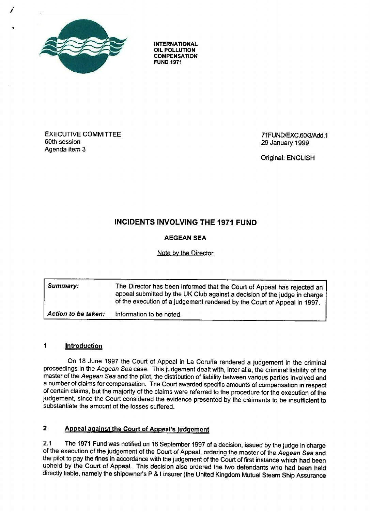

**INTERNATIONAL OIL POLLUTION COMPENSATION FUND 197 <sup>1</sup>**

EXECUTIVE COMMITTEE 60th session Agenda item 3

71 FUND/EXC.60/3/Add.1 29 January 1999

Original: ENGLISH

# INCIDENTS INVOLVING THE 1971 FUND

## **AEGEAN SE A**

### Note by the Director

| Summary:            | The Director has been informed that the Court of Appeal has rejected an<br>appeal submitted by the UK Club against a decision of the judge in charge<br>of the execution of a judgement rendered by the Court of Appeal in 1997. |
|---------------------|----------------------------------------------------------------------------------------------------------------------------------------------------------------------------------------------------------------------------------|
| Action to be taken: | Information to be noted.                                                                                                                                                                                                         |

#### $\ddagger$ **Introduction**

On 18 June 1997 the Court of Appeal in La Coruña rendered a judgement in the criminal proceedings in the Aegean Sea case. This judgement dealt with, inter alia, the criminal liability of the master of the Aegean Sea and the pilot, the distribution of liability between various parties involved and a number of claims for compensation. The Court awarded specific amounts of compensation in respect of certain claims, but the majority of the claims were referred to the procedure for the execution of the judgement, since the Court considered the evidence presented by the claimants to be insufficient to substantiate the amount of the losses suffered.

## **2 Appeal against the Court of Appeal's judgement**

2.1 The 1971 Fund was notified on 16 September 1997 of a decision, issued by the judge in charge of the execution of the judgement of the Court of Appeal, ordering the master of the Aegean Sea and the pilot to pay the fines in accordance with the judgement of the Court of first instance which had been upheld by the Court of Appeal. This decision also ordered the two defendants who had been held directly liable, namely the shipowner's P & I insurer (the United Kingdom Mutual Steam Ship Assurance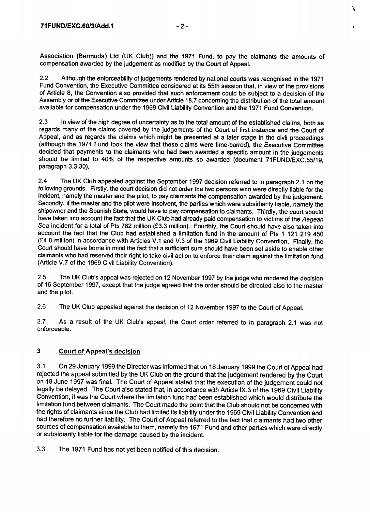Association (Bermuda) Ltd (UK Club)) and the 1971 Fund, to pay the claimants the amounts of compensation awarded by the judgement as modified by the Court of Appeal.

2.2 Although the enforceability of judgements rendered by national courts was recognised in the 1971 Fund Convention, the Executive Committee considered at its 55th session that, in view of the provisions of Article 8, the Convention also provided that such enforcement could be subject to a decision of the Assembly or of the Executive Committee under Article 18.7 concerning the distribution of the total amount available for compensation under the 1969 Civil Liability Convention and the 1971 Fund Convention.

2.3 In view of the high degree of uncertainty as to the total amount of the established claims, both as regards many of the claims covered by the judgements of the Court of first instance and the Court of Appeal, and as regards the claims which might be presented at a later stage in the civil proceedings (although the 1971 Fund took the view that these claims were time-barred), the Executive Committee decided that payments to the claimants who had been awarded a specific amount in the judgements should be limited to 40% of the respective amounts so awarded (document 71 FUND/EXC .55/19, paragraph 3.3.30).

2.4 The UK Club appealed against the September 1997 decision referred to in paragraph 2 .1 on the following grounds. Firstly, the court decision did not order the two persons who were directly liable for the incident, namely the master and the pilot, to pay claimants the compensation awarded by the judgement. Secondly, if the master and the pilot were insolvent, the parties which were subsidiarily liable, namely the shipowner and the Spanish State, would have to pay compensation to claimants. Thirdly, the court should have taken into account the fact that the UK Club had already paid compensation to victims of the Aegean Sea incident for a total of Pts 782 million (£3.3 million). Fourthly, the Court should have also taken into account the fact that the Club had established a limitation fund in the amount of Pts 1 121 219 450 (£4.8 million) in accordance with Articles V.1 and V.3 of the 1969 Civil Liability Convention . Finally, the Court should have bome in mind the fact that a sufficient sum should have been set aside to enable other claimants who had reserved their right to take civil action to enforce their claim against the limitation fund (Article V.7 of the 1969 Civil Liability Convention).

<sup>2</sup> .5 The UK Club's appeal was rejected on 12 November 1997 by the judge who rendered the decision of 16 September 1997, except that the judge agreed that the order should be directed also to the master and the pilot.

2.6 The UK Club appealed against the decision of 12 November 1997 to the Court of Appeal.

2.7 As a result of the UK Club's appeal, the Court order referred to in paragraph 2.1 was not enforceable.

### **3 Court of Appeal's decision**

3.1 On 29 January 1999 the Director was informed that on 18 January 1999 the Court of Appeal had rejected the appeal submitted by the UK Club on the ground that the judgement rendered by the Court on 18 June 1997 was final. The Court of Appeal stated that the execution of the judgement could not legally be delayed. The Court also stated that, in accordance with Article IX.3 of the 1969 Civil Liability Convention, it was the Court where the limitation fund had been established which would distribute the limitation fund between claimants. The Court made the point that the Club should not be concerned with the rights of claimants since the Club had limited its liability under the 1969 Civil Liability Convention and had therefore no further liability. The Court of Appeal referred to the fact that claimants had two other sources of compensation available to them, namely the 1971 Fund and other parties which were directly or subsidiarily liable for the damage caused by the incident.

3.3 The 1971 Fund has not yet been notified of this decision .

1